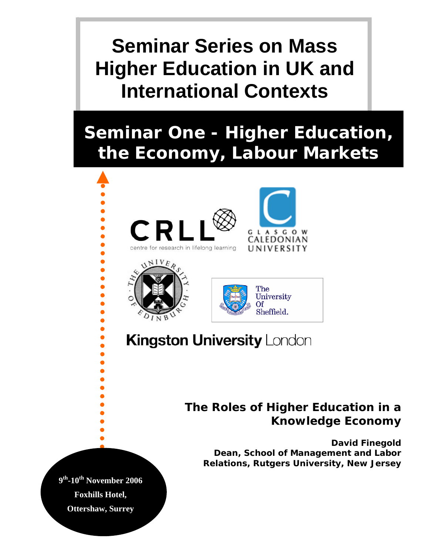# **Seminar Series on Mass Higher Education in UK and International Contexts**

# **Seminar One - Higher Education, the Economy, Labour Markets**



**9th-10th November 2006 Foxhills Hotel, Ottershaw, Surrey**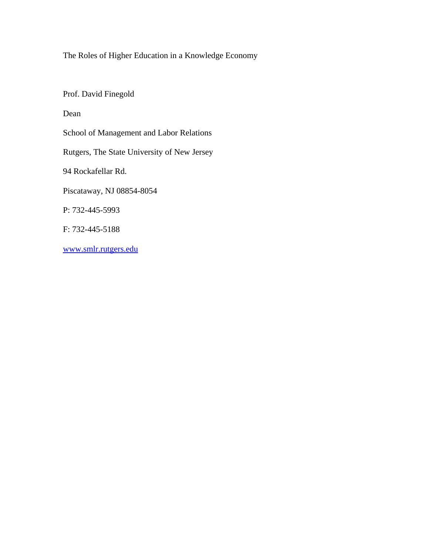The Roles of Higher Education in a Knowledge Economy

Prof. David Finegold

Dean

School of Management and Labor Relations

Rutgers, The State University of New Jersey

94 Rockafellar Rd.

Piscataway, NJ 08854-8054

P: 732-445-5993

F: 732-445-5188

[www.smlr.rutgers.edu](http://www.smlr.rutgers.edu/)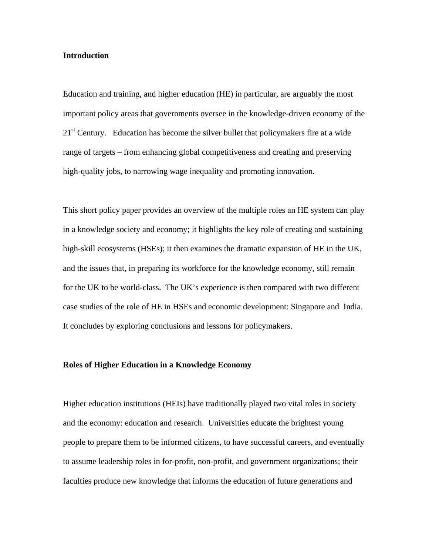# **Introduction**

Education and training, and higher education (HE) in particular, are arguably the most important policy areas that governments oversee in the knowledge-driven economy of the  $21<sup>st</sup>$  Century. Education has become the silver bullet that policymakers fire at a wide range of targets – from enhancing global competitiveness and creating and preserving high-quality jobs, to narrowing wage inequality and promoting innovation.

This short policy paper provides an overview of the multiple roles an HE system can play in a knowledge society and economy; it highlights the key role of creating and sustaining high-skill ecosystems (HSEs); it then examines the dramatic expansion of HE in the UK, and the issues that, in preparing its workforce for the knowledge economy, still remain for the UK to be world-class. The UK's experience is then compared with two different case studies of the role of HE in HSEs and economic development: Singapore and India. It concludes by exploring conclusions and lessons for policymakers.

#### **Roles of Higher Education in a Knowledge Economy**

Higher education institutions (HEIs) have traditionally played two vital roles in society and the economy: education and research. Universities educate the brightest young people to prepare them to be informed citizens, to have successful careers, and eventually to assume leadership roles in for-profit, non-profit, and government organizations; their faculties produce new knowledge that informs the education of future generations and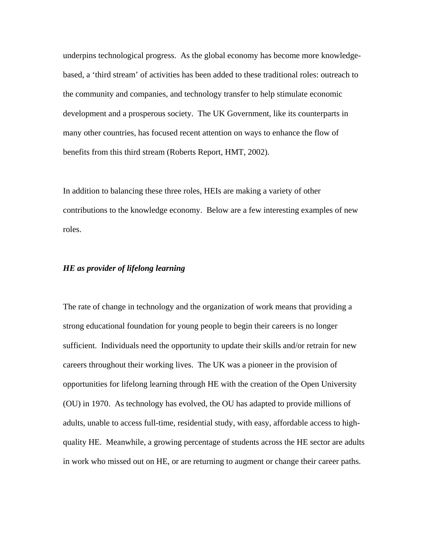underpins technological progress. As the global economy has become more knowledgebased, a 'third stream' of activities has been added to these traditional roles: outreach to the community and companies, and technology transfer to help stimulate economic development and a prosperous society. The UK Government, like its counterparts in many other countries, has focused recent attention on ways to enhance the flow of benefits from this third stream (Roberts Report, HMT, 2002).

In addition to balancing these three roles, HEIs are making a variety of other contributions to the knowledge economy. Below are a few interesting examples of new roles.

# *HE as provider of lifelong learning*

The rate of change in technology and the organization of work means that providing a strong educational foundation for young people to begin their careers is no longer sufficient. Individuals need the opportunity to update their skills and/or retrain for new careers throughout their working lives. The UK was a pioneer in the provision of opportunities for lifelong learning through HE with the creation of the Open University (OU) in 1970. As technology has evolved, the OU has adapted to provide millions of adults, unable to access full-time, residential study, with easy, affordable access to highquality HE. Meanwhile, a growing percentage of students across the HE sector are adults in work who missed out on HE, or are returning to augment or change their career paths.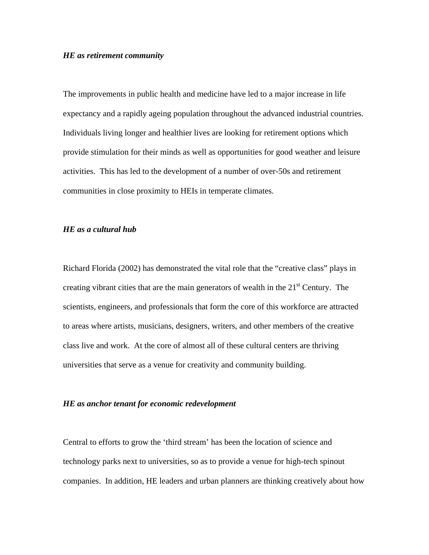#### *HE as retirement community*

The improvements in public health and medicine have led to a major increase in life expectancy and a rapidly ageing population throughout the advanced industrial countries. Individuals living longer and healthier lives are looking for retirement options which provide stimulation for their minds as well as opportunities for good weather and leisure activities. This has led to the development of a number of over-50s and retirement communities in close proximity to HEIs in temperate climates.

# *HE as a cultural hub*

Richard Florida (2002) has demonstrated the vital role that the "creative class" plays in creating vibrant cities that are the main generators of wealth in the  $21<sup>st</sup>$  Century. The scientists, engineers, and professionals that form the core of this workforce are attracted to areas where artists, musicians, designers, writers, and other members of the creative class live and work. At the core of almost all of these cultural centers are thriving universities that serve as a venue for creativity and community building.

### *HE as anchor tenant for economic redevelopment*

Central to efforts to grow the 'third stream' has been the location of science and technology parks next to universities, so as to provide a venue for high-tech spinout companies. In addition, HE leaders and urban planners are thinking creatively about how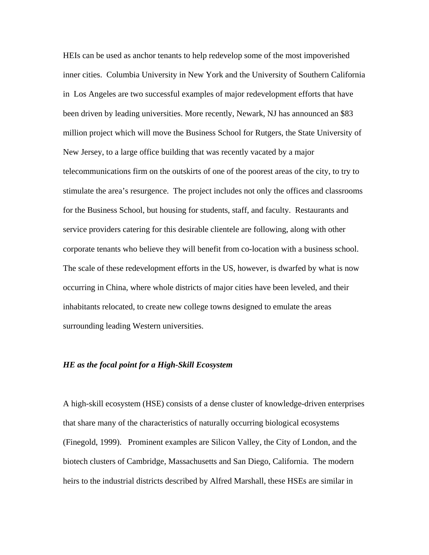HEIs can be used as anchor tenants to help redevelop some of the most impoverished inner cities. Columbia University in New York and the University of Southern California in Los Angeles are two successful examples of major redevelopment efforts that have been driven by leading universities. More recently, Newark, NJ has announced an \$83 million project which will move the Business School for Rutgers, the State University of New Jersey, to a large office building that was recently vacated by a major telecommunications firm on the outskirts of one of the poorest areas of the city, to try to stimulate the area's resurgence. The project includes not only the offices and classrooms for the Business School, but housing for students, staff, and faculty. Restaurants and service providers catering for this desirable clientele are following, along with other corporate tenants who believe they will benefit from co-location with a business school. The scale of these redevelopment efforts in the US, however, is dwarfed by what is now occurring in China, where whole districts of major cities have been leveled, and their inhabitants relocated, to create new college towns designed to emulate the areas surrounding leading Western universities.

# *HE as the focal point for a High-Skill Ecosystem*

A high-skill ecosystem (HSE) consists of a dense cluster of knowledge-driven enterprises that share many of the characteristics of naturally occurring biological ecosystems (Finegold, 1999). Prominent examples are Silicon Valley, the City of London, and the biotech clusters of Cambridge, Massachusetts and San Diego, California. The modern heirs to the industrial districts described by Alfred Marshall, these HSEs are similar in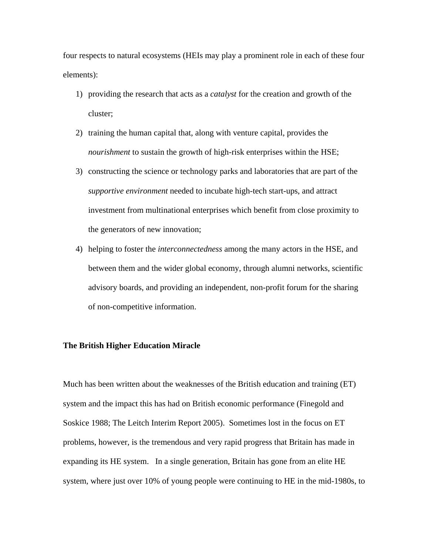four respects to natural ecosystems (HEIs may play a prominent role in each of these four elements):

- 1) providing the research that acts as a *catalyst* for the creation and growth of the cluster;
- 2) training the human capital that, along with venture capital, provides the *nourishment* to sustain the growth of high-risk enterprises within the HSE;
- 3) constructing the science or technology parks and laboratories that are part of the *supportive environment* needed to incubate high-tech start-ups, and attract investment from multinational enterprises which benefit from close proximity to the generators of new innovation;
- 4) helping to foster the *interconnectedness* among the many actors in the HSE, and between them and the wider global economy, through alumni networks, scientific advisory boards, and providing an independent, non-profit forum for the sharing of non-competitive information.

#### **The British Higher Education Miracle**

Much has been written about the weaknesses of the British education and training (ET) system and the impact this has had on British economic performance (Finegold and Soskice 1988; The Leitch Interim Report 2005). Sometimes lost in the focus on ET problems, however, is the tremendous and very rapid progress that Britain has made in expanding its HE system. In a single generation, Britain has gone from an elite HE system, where just over 10% of young people were continuing to HE in the mid-1980s, to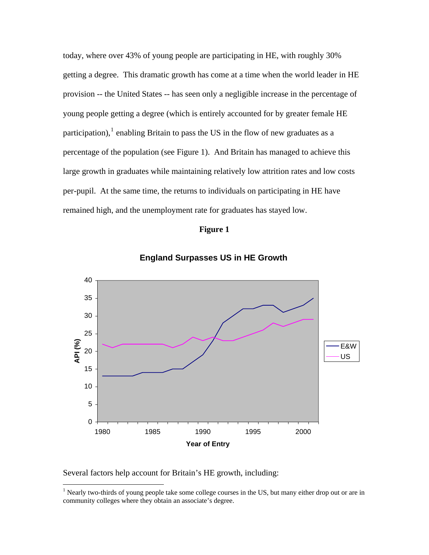today, where over 43% of young people are participating in HE, with roughly 30% getting a degree. This dramatic growth has come at a time when the world leader in HE provision -- the United States -- has seen only a negligible increase in the percentage of young people getting a degree (which is entirely accounted for by greater female HE participation),  $^1$  $^1$  enabling Britain to pass the US in the flow of new graduates as a percentage of the population (see Figure 1). And Britain has managed to achieve this large growth in graduates while maintaining relatively low attrition rates and low costs per-pupil. At the same time, the returns to individuals on participating in HE have remained high, and the unemployment rate for graduates has stayed low.

# **Figure 1**



# **England Surpasses US in HE Growth**

Several factors help account for Britain's HE growth, including:

 $\overline{a}$ 

<span id="page-7-0"></span><sup>&</sup>lt;sup>1</sup> Nearly two-thirds of young people take some college courses in the US, but many either drop out or are in community colleges where they obtain an associate's degree.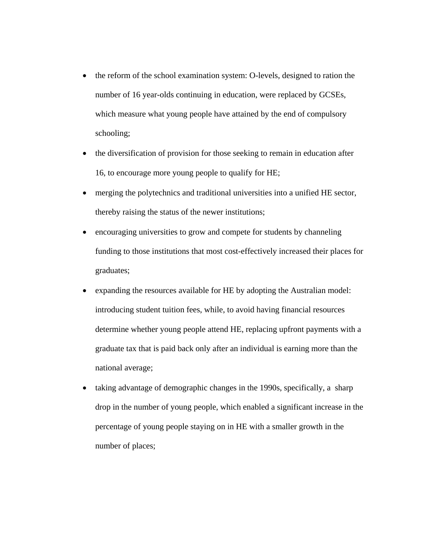- the reform of the school examination system: O-levels, designed to ration the number of 16 year-olds continuing in education, were replaced by GCSEs, which measure what young people have attained by the end of compulsory schooling;
- the diversification of provision for those seeking to remain in education after 16, to encourage more young people to qualify for HE;
- merging the polytechnics and traditional universities into a unified HE sector, thereby raising the status of the newer institutions;
- encouraging universities to grow and compete for students by channeling funding to those institutions that most cost-effectively increased their places for graduates;
- expanding the resources available for HE by adopting the Australian model: introducing student tuition fees, while, to avoid having financial resources determine whether young people attend HE, replacing upfront payments with a graduate tax that is paid back only after an individual is earning more than the national average;
- taking advantage of demographic changes in the 1990s, specifically, a sharp drop in the number of young people, which enabled a significant increase in the percentage of young people staying on in HE with a smaller growth in the number of places;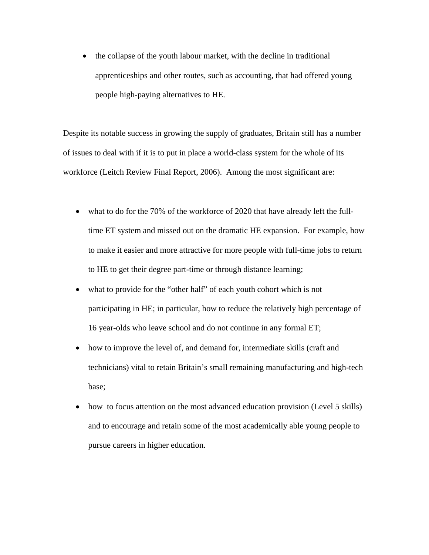• the collapse of the youth labour market, with the decline in traditional apprenticeships and other routes, such as accounting, that had offered young people high-paying alternatives to HE.

Despite its notable success in growing the supply of graduates, Britain still has a number of issues to deal with if it is to put in place a world-class system for the whole of its workforce (Leitch Review Final Report, 2006). Among the most significant are:

- what to do for the 70% of the workforce of 2020 that have already left the fulltime ET system and missed out on the dramatic HE expansion. For example, how to make it easier and more attractive for more people with full-time jobs to return to HE to get their degree part-time or through distance learning;
- what to provide for the "other half" of each youth cohort which is not participating in HE; in particular, how to reduce the relatively high percentage of 16 year-olds who leave school and do not continue in any formal ET;
- how to improve the level of, and demand for, intermediate skills (craft and technicians) vital to retain Britain's small remaining manufacturing and high-tech base;
- how to focus attention on the most advanced education provision (Level 5 skills) and to encourage and retain some of the most academically able young people to pursue careers in higher education.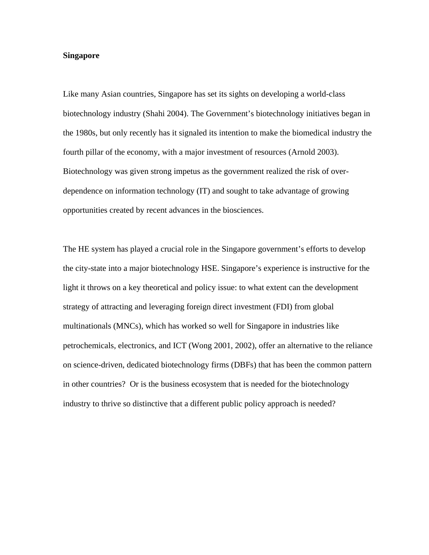# **Singapore**

Like many Asian countries, Singapore has set its sights on developing a world-class biotechnology industry (Shahi 2004). The Government's biotechnology initiatives began in the 1980s, but only recently has it signaled its intention to make the biomedical industry the fourth pillar of the economy, with a major investment of resources (Arnold 2003). Biotechnology was given strong impetus as the government realized the risk of overdependence on information technology (IT) and sought to take advantage of growing opportunities created by recent advances in the biosciences.

The HE system has played a crucial role in the Singapore government's efforts to develop the city-state into a major biotechnology HSE. Singapore's experience is instructive for the light it throws on a key theoretical and policy issue: to what extent can the development strategy of attracting and leveraging foreign direct investment (FDI) from global multinationals (MNCs), which has worked so well for Singapore in industries like petrochemicals, electronics, and ICT (Wong 2001, 2002), offer an alternative to the reliance on science-driven, dedicated biotechnology firms (DBFs) that has been the common pattern in other countries? Or is the business ecosystem that is needed for the biotechnology industry to thrive so distinctive that a different public policy approach is needed?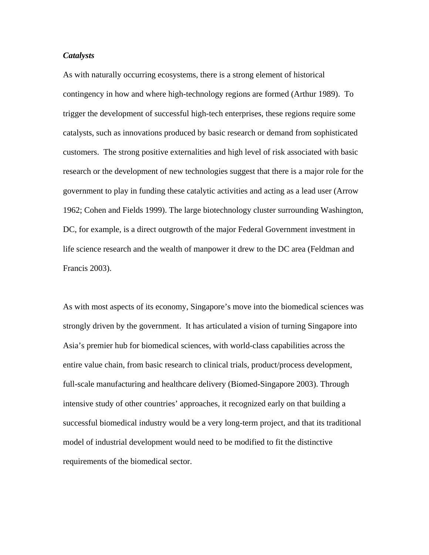# *Catalysts*

As with naturally occurring ecosystems, there is a strong element of historical contingency in how and where high-technology regions are formed (Arthur 1989). To trigger the development of successful high-tech enterprises, these regions require some catalysts, such as innovations produced by basic research or demand from sophisticated customers. The strong positive externalities and high level of risk associated with basic research or the development of new technologies suggest that there is a major role for the government to play in funding these catalytic activities and acting as a lead user (Arrow 1962; Cohen and Fields 1999). The large biotechnology cluster surrounding Washington, DC, for example, is a direct outgrowth of the major Federal Government investment in life science research and the wealth of manpower it drew to the DC area (Feldman and Francis 2003).

As with most aspects of its economy, Singapore's move into the biomedical sciences was strongly driven by the government. It has articulated a vision of turning Singapore into Asia's premier hub for biomedical sciences, with world-class capabilities across the entire value chain, from basic research to clinical trials, product/process development, full-scale manufacturing and healthcare delivery (Biomed-Singapore 2003). Through intensive study of other countries' approaches, it recognized early on that building a successful biomedical industry would be a very long-term project, and that its traditional model of industrial development would need to be modified to fit the distinctive requirements of the biomedical sector.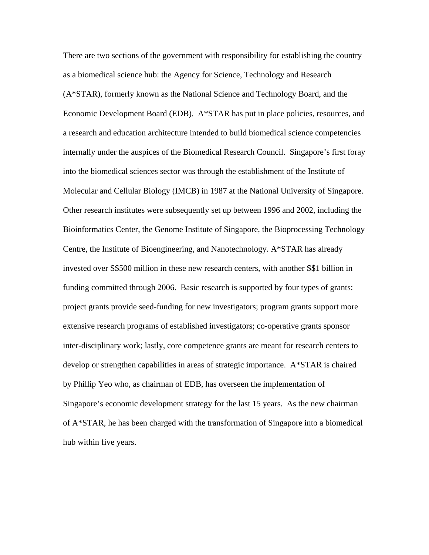There are two sections of the government with responsibility for establishing the country as a biomedical science hub: the Agency for Science, Technology and Research (A\*STAR), formerly known as the National Science and Technology Board, and the Economic Development Board (EDB). A\*STAR has put in place policies, resources, and a research and education architecture intended to build biomedical science competencies internally under the auspices of the Biomedical Research Council. Singapore's first foray into the biomedical sciences sector was through the establishment of the Institute of Molecular and Cellular Biology (IMCB) in 1987 at the National University of Singapore. Other research institutes were subsequently set up between 1996 and 2002, including the Bioinformatics Center, the Genome Institute of Singapore, the Bioprocessing Technology Centre, the Institute of Bioengineering, and Nanotechnology. A\*STAR has already invested over S\$500 million in these new research centers, with another S\$1 billion in funding committed through 2006. Basic research is supported by four types of grants: project grants provide seed-funding for new investigators; program grants support more extensive research programs of established investigators; co-operative grants sponsor inter-disciplinary work; lastly, core competence grants are meant for research centers to develop or strengthen capabilities in areas of strategic importance. A\*STAR is chaired by Phillip Yeo who, as chairman of EDB, has overseen the implementation of Singapore's economic development strategy for the last 15 years. As the new chairman of A\*STAR, he has been charged with the transformation of Singapore into a biomedical hub within five years.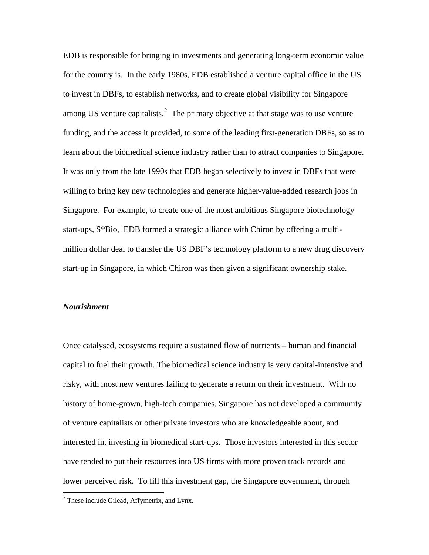EDB is responsible for bringing in investments and generating long-term economic value for the country is. In the early 1980s, EDB established a venture capital office in the US to invest in DBFs, to establish networks, and to create global visibility for Singapore among US venture capitalists.<sup>[2](#page-13-0)</sup> The primary objective at that stage was to use venture funding, and the access it provided, to some of the leading first-generation DBFs, so as to learn about the biomedical science industry rather than to attract companies to Singapore. It was only from the late 1990s that EDB began selectively to invest in DBFs that were willing to bring key new technologies and generate higher-value-added research jobs in Singapore. For example, to create one of the most ambitious Singapore biotechnology start-ups, S\*Bio, EDB formed a strategic alliance with Chiron by offering a multimillion dollar deal to transfer the US DBF's technology platform to a new drug discovery start-up in Singapore, in which Chiron was then given a significant ownership stake.

#### *Nourishment*

 $\overline{a}$ 

Once catalysed, ecosystems require a sustained flow of nutrients – human and financial capital to fuel their growth. The biomedical science industry is very capital-intensive and risky, with most new ventures failing to generate a return on their investment. With no history of home-grown, high-tech companies, Singapore has not developed a community of venture capitalists or other private investors who are knowledgeable about, and interested in, investing in biomedical start-ups. Those investors interested in this sector have tended to put their resources into US firms with more proven track records and lower perceived risk. To fill this investment gap, the Singapore government, through

<span id="page-13-0"></span> $2^2$  These include Gilead, Affymetrix, and Lynx.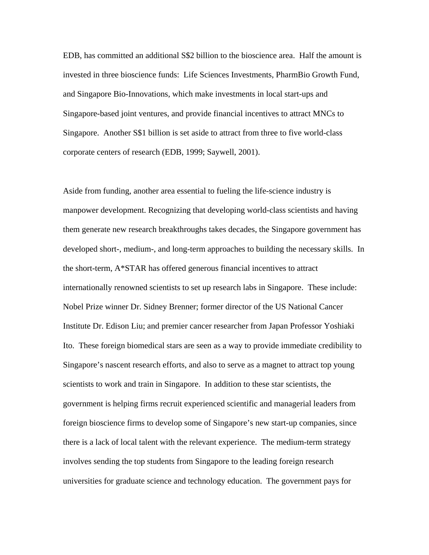EDB, has committed an additional S\$2 billion to the bioscience area. Half the amount is invested in three bioscience funds: Life Sciences Investments, PharmBio Growth Fund, and Singapore Bio-Innovations, which make investments in local start-ups and Singapore-based joint ventures, and provide financial incentives to attract MNCs to Singapore. Another S\$1 billion is set aside to attract from three to five world-class corporate centers of research (EDB, 1999; Saywell, 2001).

Aside from funding, another area essential to fueling the life-science industry is manpower development. Recognizing that developing world-class scientists and having them generate new research breakthroughs takes decades, the Singapore government has developed short-, medium-, and long-term approaches to building the necessary skills. In the short-term, A\*STAR has offered generous financial incentives to attract internationally renowned scientists to set up research labs in Singapore. These include: Nobel Prize winner Dr. Sidney Brenner; former director of the US National Cancer Institute Dr. Edison Liu; and premier cancer researcher from Japan Professor Yoshiaki Ito. These foreign biomedical stars are seen as a way to provide immediate credibility to Singapore's nascent research efforts, and also to serve as a magnet to attract top young scientists to work and train in Singapore. In addition to these star scientists, the government is helping firms recruit experienced scientific and managerial leaders from foreign bioscience firms to develop some of Singapore's new start-up companies, since there is a lack of local talent with the relevant experience. The medium-term strategy involves sending the top students from Singapore to the leading foreign research universities for graduate science and technology education. The government pays for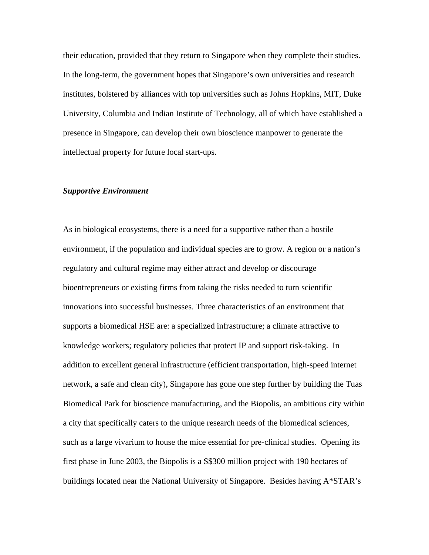their education, provided that they return to Singapore when they complete their studies. In the long-term, the government hopes that Singapore's own universities and research institutes, bolstered by alliances with top universities such as Johns Hopkins, MIT, Duke University, Columbia and Indian Institute of Technology, all of which have established a presence in Singapore, can develop their own bioscience manpower to generate the intellectual property for future local start-ups.

#### *Supportive Environment*

As in biological ecosystems, there is a need for a supportive rather than a hostile environment, if the population and individual species are to grow. A region or a nation's regulatory and cultural regime may either attract and develop or discourage bioentrepreneurs or existing firms from taking the risks needed to turn scientific innovations into successful businesses. Three characteristics of an environment that supports a biomedical HSE are: a specialized infrastructure; a climate attractive to knowledge workers; regulatory policies that protect IP and support risk-taking. In addition to excellent general infrastructure (efficient transportation, high-speed internet network, a safe and clean city), Singapore has gone one step further by building the Tuas Biomedical Park for bioscience manufacturing, and the Biopolis, an ambitious city within a city that specifically caters to the unique research needs of the biomedical sciences, such as a large vivarium to house the mice essential for pre-clinical studies. Opening its first phase in June 2003, the Biopolis is a S\$300 million project with 190 hectares of buildings located near the National University of Singapore. Besides having A\*STAR's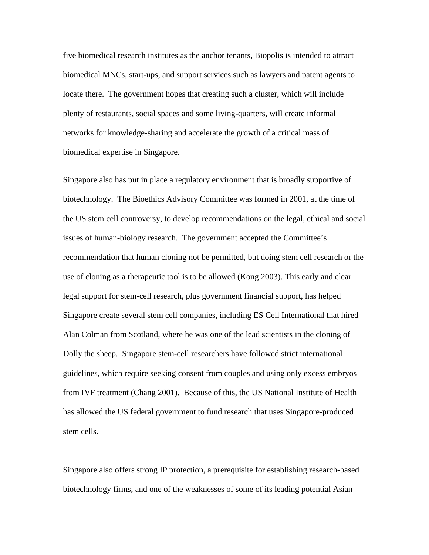five biomedical research institutes as the anchor tenants, Biopolis is intended to attract biomedical MNCs, start-ups, and support services such as lawyers and patent agents to locate there. The government hopes that creating such a cluster, which will include plenty of restaurants, social spaces and some living-quarters, will create informal networks for knowledge-sharing and accelerate the growth of a critical mass of biomedical expertise in Singapore.

Singapore also has put in place a regulatory environment that is broadly supportive of biotechnology. The Bioethics Advisory Committee was formed in 2001, at the time of the US stem cell controversy, to develop recommendations on the legal, ethical and social issues of human-biology research. The government accepted the Committee's recommendation that human cloning not be permitted, but doing stem cell research or the use of cloning as a therapeutic tool is to be allowed (Kong 2003). This early and clear legal support for stem-cell research, plus government financial support, has helped Singapore create several stem cell companies, including ES Cell International that hired Alan Colman from Scotland, where he was one of the lead scientists in the cloning of Dolly the sheep. Singapore stem-cell researchers have followed strict international guidelines, which require seeking consent from couples and using only excess embryos from IVF treatment (Chang 2001). Because of this, the US National Institute of Health has allowed the US federal government to fund research that uses Singapore-produced stem cells.

Singapore also offers strong IP protection, a prerequisite for establishing research-based biotechnology firms, and one of the weaknesses of some of its leading potential Asian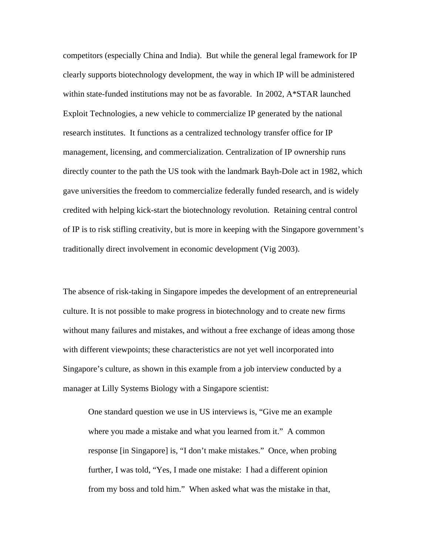competitors (especially China and India). But while the general legal framework for IP clearly supports biotechnology development, the way in which IP will be administered within state-funded institutions may not be as favorable. In 2002, A\*STAR launched Exploit Technologies, a new vehicle to commercialize IP generated by the national research institutes. It functions as a centralized technology transfer office for IP management, licensing, and commercialization. Centralization of IP ownership runs directly counter to the path the US took with the landmark Bayh-Dole act in 1982, which gave universities the freedom to commercialize federally funded research, and is widely credited with helping kick-start the biotechnology revolution. Retaining central control of IP is to risk stifling creativity, but is more in keeping with the Singapore government's traditionally direct involvement in economic development (Vig 2003).

The absence of risk-taking in Singapore impedes the development of an entrepreneurial culture. It is not possible to make progress in biotechnology and to create new firms without many failures and mistakes, and without a free exchange of ideas among those with different viewpoints; these characteristics are not yet well incorporated into Singapore's culture, as shown in this example from a job interview conducted by a manager at Lilly Systems Biology with a Singapore scientist:

One standard question we use in US interviews is, "Give me an example where you made a mistake and what you learned from it." A common response [in Singapore] is, "I don't make mistakes." Once, when probing further, I was told, "Yes, I made one mistake: I had a different opinion from my boss and told him." When asked what was the mistake in that,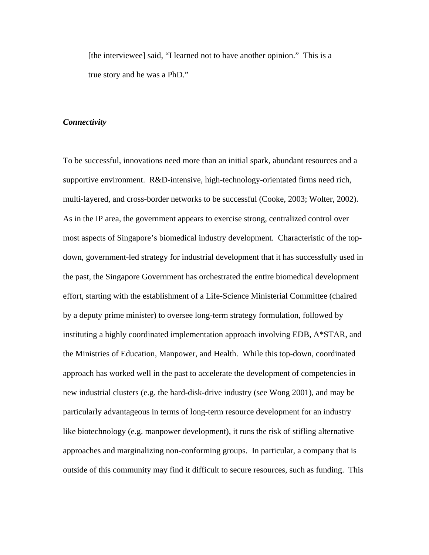[the interviewee] said, "I learned not to have another opinion." This is a true story and he was a PhD."

#### *Connectivity*

To be successful, innovations need more than an initial spark, abundant resources and a supportive environment. R&D-intensive, high-technology-orientated firms need rich, multi-layered, and cross-border networks to be successful (Cooke, 2003; Wolter, 2002). As in the IP area, the government appears to exercise strong, centralized control over most aspects of Singapore's biomedical industry development. Characteristic of the topdown, government-led strategy for industrial development that it has successfully used in the past, the Singapore Government has orchestrated the entire biomedical development effort, starting with the establishment of a Life-Science Ministerial Committee (chaired by a deputy prime minister) to oversee long-term strategy formulation, followed by instituting a highly coordinated implementation approach involving EDB, A\*STAR, and the Ministries of Education, Manpower, and Health. While this top-down, coordinated approach has worked well in the past to accelerate the development of competencies in new industrial clusters (e.g. the hard-disk-drive industry (see Wong 2001), and may be particularly advantageous in terms of long-term resource development for an industry like biotechnology (e.g. manpower development), it runs the risk of stifling alternative approaches and marginalizing non-conforming groups. In particular, a company that is outside of this community may find it difficult to secure resources, such as funding. This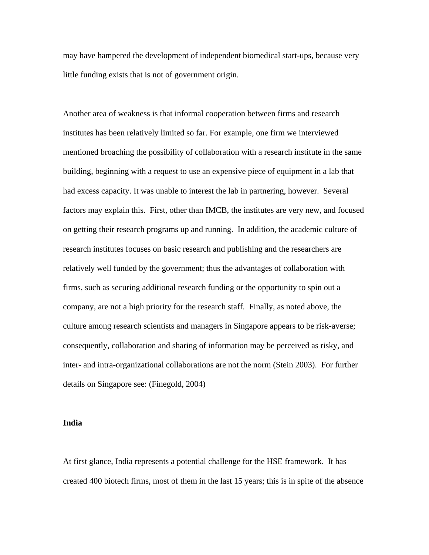may have hampered the development of independent biomedical start-ups, because very little funding exists that is not of government origin.

Another area of weakness is that informal cooperation between firms and research institutes has been relatively limited so far. For example, one firm we interviewed mentioned broaching the possibility of collaboration with a research institute in the same building, beginning with a request to use an expensive piece of equipment in a lab that had excess capacity. It was unable to interest the lab in partnering, however. Several factors may explain this. First, other than IMCB, the institutes are very new, and focused on getting their research programs up and running. In addition, the academic culture of research institutes focuses on basic research and publishing and the researchers are relatively well funded by the government; thus the advantages of collaboration with firms, such as securing additional research funding or the opportunity to spin out a company, are not a high priority for the research staff. Finally, as noted above, the culture among research scientists and managers in Singapore appears to be risk-averse; consequently, collaboration and sharing of information may be perceived as risky, and inter- and intra-organizational collaborations are not the norm (Stein 2003). For further details on Singapore see: (Finegold, 2004)

## **India**

At first glance, India represents a potential challenge for the HSE framework. It has created 400 biotech firms, most of them in the last 15 years; this is in spite of the absence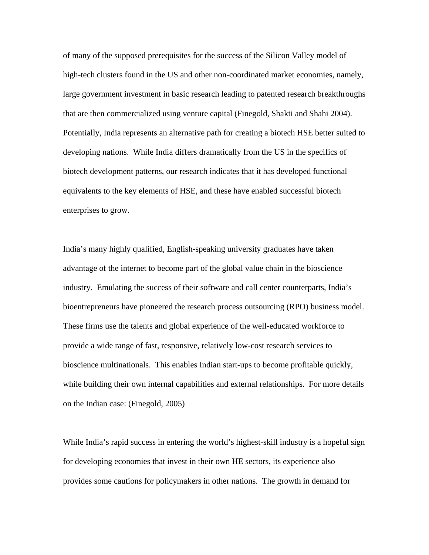of many of the supposed prerequisites for the success of the Silicon Valley model of high-tech clusters found in the US and other non-coordinated market economies, namely, large government investment in basic research leading to patented research breakthroughs that are then commercialized using venture capital (Finegold, Shakti and Shahi 2004). Potentially, India represents an alternative path for creating a biotech HSE better suited to developing nations. While India differs dramatically from the US in the specifics of biotech development patterns, our research indicates that it has developed functional equivalents to the key elements of HSE, and these have enabled successful biotech enterprises to grow.

India's many highly qualified, English-speaking university graduates have taken advantage of the internet to become part of the global value chain in the bioscience industry. Emulating the success of their software and call center counterparts, India's bioentrepreneurs have pioneered the research process outsourcing (RPO) business model. These firms use the talents and global experience of the well-educated workforce to provide a wide range of fast, responsive, relatively low-cost research services to bioscience multinationals. This enables Indian start-ups to become profitable quickly, while building their own internal capabilities and external relationships. For more details on the Indian case: (Finegold, 2005)

While India's rapid success in entering the world's highest-skill industry is a hopeful sign for developing economies that invest in their own HE sectors, its experience also provides some cautions for policymakers in other nations. The growth in demand for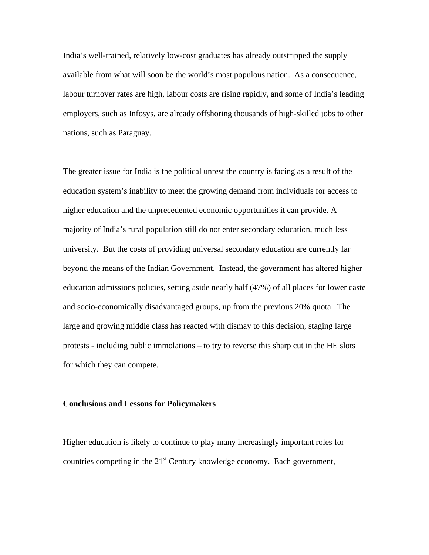India's well-trained, relatively low-cost graduates has already outstripped the supply available from what will soon be the world's most populous nation. As a consequence, labour turnover rates are high, labour costs are rising rapidly, and some of India's leading employers, such as Infosys, are already offshoring thousands of high-skilled jobs to other nations, such as Paraguay.

The greater issue for India is the political unrest the country is facing as a result of the education system's inability to meet the growing demand from individuals for access to higher education and the unprecedented economic opportunities it can provide. A majority of India's rural population still do not enter secondary education, much less university. But the costs of providing universal secondary education are currently far beyond the means of the Indian Government. Instead, the government has altered higher education admissions policies, setting aside nearly half (47%) of all places for lower caste and socio-economically disadvantaged groups, up from the previous 20% quota. The large and growing middle class has reacted with dismay to this decision, staging large protests - including public immolations – to try to reverse this sharp cut in the HE slots for which they can compete.

# **Conclusions and Lessons for Policymakers**

Higher education is likely to continue to play many increasingly important roles for countries competing in the  $21<sup>st</sup>$  Century knowledge economy. Each government,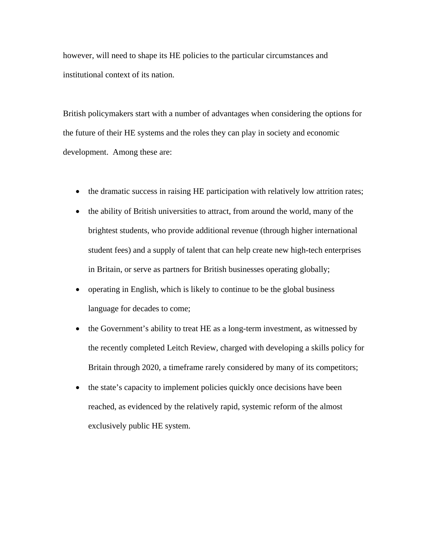however, will need to shape its HE policies to the particular circumstances and institutional context of its nation.

British policymakers start with a number of advantages when considering the options for the future of their HE systems and the roles they can play in society and economic development. Among these are:

- the dramatic success in raising HE participation with relatively low attrition rates;
- the ability of British universities to attract, from around the world, many of the brightest students, who provide additional revenue (through higher international student fees) and a supply of talent that can help create new high-tech enterprises in Britain, or serve as partners for British businesses operating globally;
- operating in English, which is likely to continue to be the global business language for decades to come;
- the Government's ability to treat HE as a long-term investment, as witnessed by the recently completed Leitch Review, charged with developing a skills policy for Britain through 2020, a timeframe rarely considered by many of its competitors;
- the state's capacity to implement policies quickly once decisions have been reached, as evidenced by the relatively rapid, systemic reform of the almost exclusively public HE system.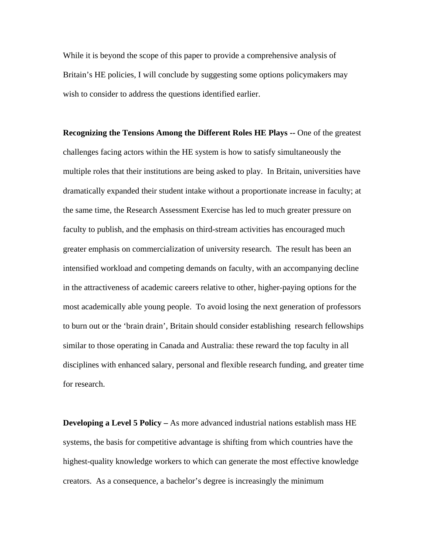While it is beyond the scope of this paper to provide a comprehensive analysis of Britain's HE policies, I will conclude by suggesting some options policymakers may wish to consider to address the questions identified earlier.

**Recognizing the Tensions Among the Different Roles HE Plays --** One of the greatest challenges facing actors within the HE system is how to satisfy simultaneously the multiple roles that their institutions are being asked to play. In Britain, universities have dramatically expanded their student intake without a proportionate increase in faculty; at the same time, the Research Assessment Exercise has led to much greater pressure on faculty to publish, and the emphasis on third-stream activities has encouraged much greater emphasis on commercialization of university research. The result has been an intensified workload and competing demands on faculty, with an accompanying decline in the attractiveness of academic careers relative to other, higher-paying options for the most academically able young people. To avoid losing the next generation of professors to burn out or the 'brain drain', Britain should consider establishing research fellowships similar to those operating in Canada and Australia: these reward the top faculty in all disciplines with enhanced salary, personal and flexible research funding, and greater time for research.

**Developing a Level 5 Policy –** As more advanced industrial nations establish mass HE systems, the basis for competitive advantage is shifting from which countries have the highest-quality knowledge workers to which can generate the most effective knowledge creators. As a consequence, a bachelor's degree is increasingly the minimum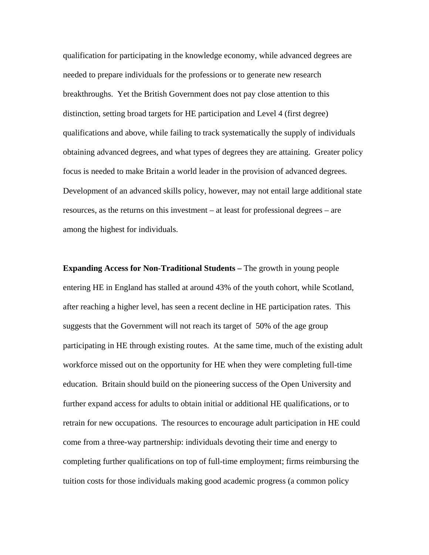qualification for participating in the knowledge economy, while advanced degrees are needed to prepare individuals for the professions or to generate new research breakthroughs. Yet the British Government does not pay close attention to this distinction, setting broad targets for HE participation and Level 4 (first degree) qualifications and above, while failing to track systematically the supply of individuals obtaining advanced degrees, and what types of degrees they are attaining. Greater policy focus is needed to make Britain a world leader in the provision of advanced degrees. Development of an advanced skills policy, however, may not entail large additional state resources, as the returns on this investment – at least for professional degrees – are among the highest for individuals.

**Expanding Access for Non-Traditional Students –** The growth in young people entering HE in England has stalled at around 43% of the youth cohort, while Scotland, after reaching a higher level, has seen a recent decline in HE participation rates. This suggests that the Government will not reach its target of 50% of the age group participating in HE through existing routes. At the same time, much of the existing adult workforce missed out on the opportunity for HE when they were completing full-time education. Britain should build on the pioneering success of the Open University and further expand access for adults to obtain initial or additional HE qualifications, or to retrain for new occupations. The resources to encourage adult participation in HE could come from a three-way partnership: individuals devoting their time and energy to completing further qualifications on top of full-time employment; firms reimbursing the tuition costs for those individuals making good academic progress (a common policy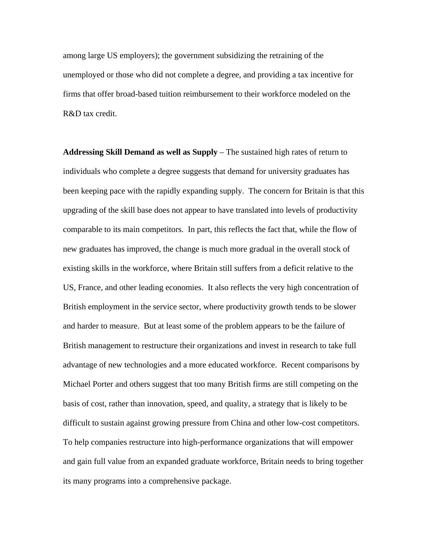among large US employers); the government subsidizing the retraining of the unemployed or those who did not complete a degree, and providing a tax incentive for firms that offer broad-based tuition reimbursement to their workforce modeled on the R&D tax credit.

**Addressing Skill Demand as well as Supply** – The sustained high rates of return to individuals who complete a degree suggests that demand for university graduates has been keeping pace with the rapidly expanding supply. The concern for Britain is that this upgrading of the skill base does not appear to have translated into levels of productivity comparable to its main competitors. In part, this reflects the fact that, while the flow of new graduates has improved, the change is much more gradual in the overall stock of existing skills in the workforce, where Britain still suffers from a deficit relative to the US, France, and other leading economies. It also reflects the very high concentration of British employment in the service sector, where productivity growth tends to be slower and harder to measure. But at least some of the problem appears to be the failure of British management to restructure their organizations and invest in research to take full advantage of new technologies and a more educated workforce. Recent comparisons by Michael Porter and others suggest that too many British firms are still competing on the basis of cost, rather than innovation, speed, and quality, a strategy that is likely to be difficult to sustain against growing pressure from China and other low-cost competitors. To help companies restructure into high-performance organizations that will empower and gain full value from an expanded graduate workforce, Britain needs to bring together its many programs into a comprehensive package.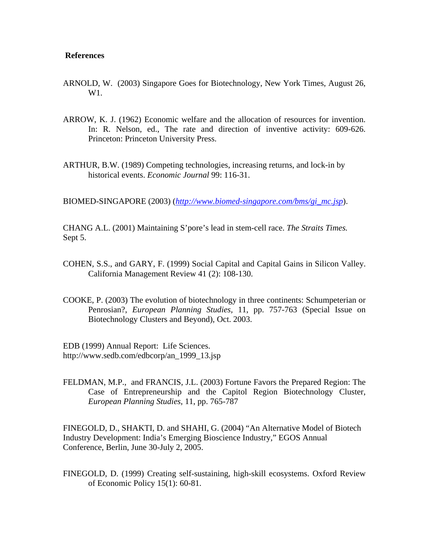# **References**

- ARNOLD, W. (2003) Singapore Goes for Biotechnology, New York Times, August 26, W1.
- ARROW, K. J. (1962) Economic welfare and the allocation of resources for invention. In: R. Nelson, ed., The rate and direction of inventive activity: 609-626. Princeton: Princeton University Press.
- ARTHUR, B.W. (1989) Competing technologies, increasing returns, and lock-in by historical events. *Economic Journal* 99: 116-31.

BIOMED-SINGAPORE (2003) (*[http://www.biomed-singapore.com/bms/gi\\_mc.jsp](http://www.biomed-singapore.com/bms/gi_mc.jsp)*).

CHANG A.L. (2001) Maintaining S'pore's lead in stem-cell race. *The Straits Times.*  Sept 5.

- COHEN, S.S., and GARY, F. (1999) Social Capital and Capital Gains in Silicon Valley. California Management Review 41 (2): 108-130.
- COOKE, P. (2003) The evolution of biotechnology in three continents: Schumpeterian or Penrosian?, *European Planning Studies,* 11, pp. 757-763 (Special Issue on Biotechnology Clusters and Beyond), Oct. 2003.

EDB (1999) Annual Report: Life Sciences. http://www.sedb.com/edbcorp/an\_1999\_13.jsp

FELDMAN, M.P., and FRANCIS, J.L. (2003) Fortune Favors the Prepared Region: The Case of Entrepreneurship and the Capitol Region Biotechnology Cluster, *European Planning Studies*, 11, pp. 765-787

FINEGOLD, D., SHAKTI, D. and SHAHI, G. (2004) "An Alternative Model of Biotech Industry Development: India's Emerging Bioscience Industry," EGOS Annual Conference, Berlin, June 30-July 2, 2005.

FINEGOLD, D. (1999) Creating self-sustaining, high-skill ecosystems. Oxford Review of Economic Policy 15(1): 60-81.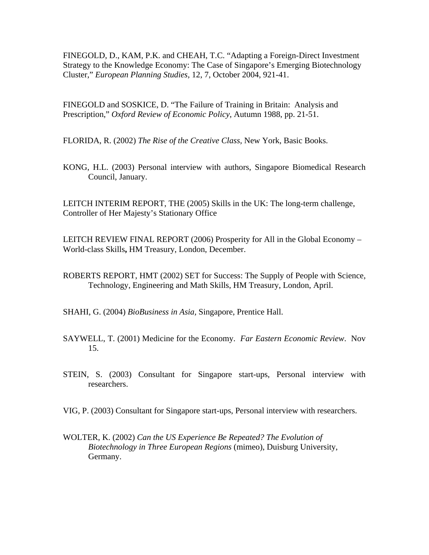FINEGOLD, D., KAM, P.K. and CHEAH, T.C. "Adapting a Foreign-Direct Investment Strategy to the Knowledge Economy: The Case of Singapore's Emerging Biotechnology Cluster," *European Planning Studies,* 12, 7, October 2004, 921-41.

FINEGOLD and SOSKICE, D. "The Failure of Training in Britain: Analysis and Prescription," *Oxford Review of Economic Policy*, Autumn 1988, pp. 21-51.

FLORIDA, R. (2002) *The Rise of the Creative Class,* New York, Basic Books.

KONG, H.L. (2003) Personal interview with authors, Singapore Biomedical Research Council, January.

LEITCH INTERIM REPORT, THE (2005) Skills in the UK: The long-term challenge, Controller of Her Majesty's Stationary Office

LEITCH REVIEW FINAL REPORT (2006) Prosperity for All in the Global Economy – World-class Skills**,** HM Treasury, London, December.

ROBERTS REPORT, HMT (2002) SET for Success: The Supply of People with Science, Technology, Engineering and Math Skills, HM Treasury, London, April.

SHAHI, G. (2004) *BioBusiness in Asia,* Singapore, Prentice Hall.

- SAYWELL, T. (2001) Medicine for the Economy. *Far Eastern Economic Review*. Nov 15.
- STEIN, S. (2003) Consultant for Singapore start-ups, Personal interview with researchers.
- VIG, P. (2003) Consultant for Singapore start-ups, Personal interview with researchers.
- WOLTER, K. (2002) *Can the US Experience Be Repeated? The Evolution of Biotechnology in Three European Regions* (mimeo), Duisburg University, Germany.